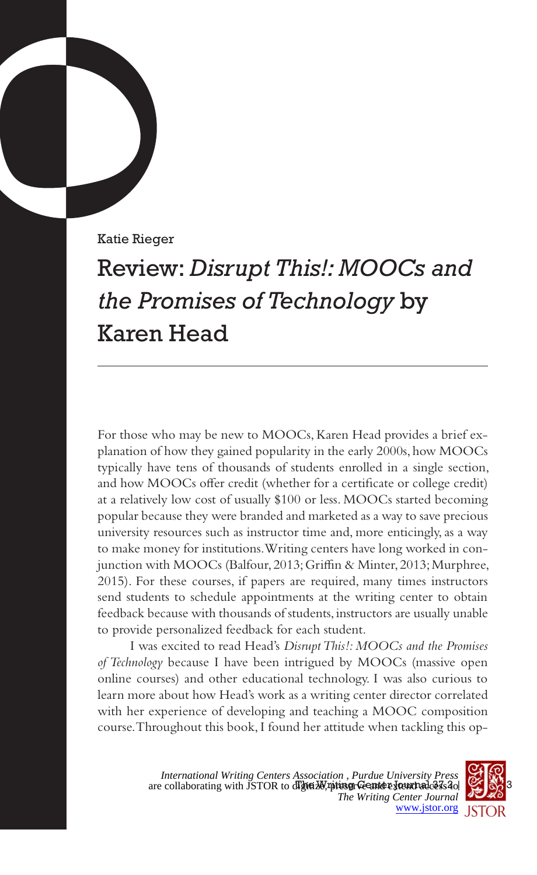Katie Rieger

# Review: *Disrupt This!: MOOCs and the Promises of Technology* by Karen Head

For those who may be new to MOOCs, Karen Head provides a brief explanation of how they gained popularity in the early 2000s, how MOOCs typically have tens of thousands of students enrolled in a single section, and how MOOCs offer credit (whether for a certificate or college credit) at a relatively low cost of usually \$100 or less. MOOCs started becoming popular because they were branded and marketed as a way to save precious university resources such as instructor time and, more enticingly, as a way to make money for institutions. Writing centers have long worked in conjunction with MOOCs (Balfour, 2013; Griffin & Minter, 2013; Murphree, 2015). For these courses, if papers are required, many times instructors send students to schedule appointments at the writing center to obtain feedback because with thousands of students, instructors are usually unable to provide personalized feedback for each student.

I was excited to read Head's *Disrupt This!: MOOCs and the Promises of Technology* because I have been intrigued by MOOCs (massive open online courses) and other educational technology. I was also curious to learn more about how Head's work as a writing center director correlated with her experience of developing and teaching a MOOC composition course. Throughout this book, I found her attitude when tackling this op-

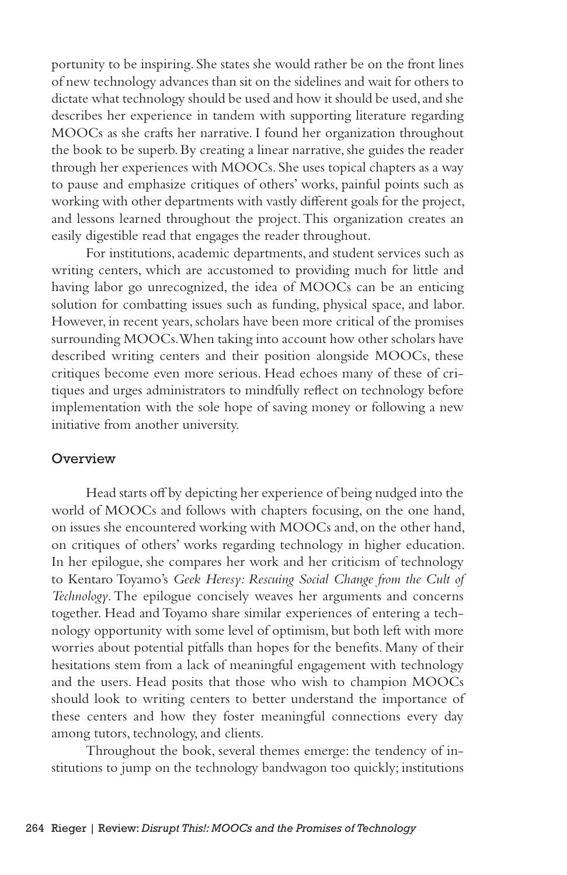portunity to be inspiring. She states she would rather be on the front lines of new technology advances than sit on the sidelines and wait for others to dictate what technology should be used and how it should be used, and she describes her experience in tandem with supporting literature regarding MOOCs as she crafts her narrative. I found her organization throughout the book to be superb. By creating a linear narrative, she guides the reader through her experiences with MOOCs. She uses topical chapters as a way to pause and emphasize critiques of others' works, painful points such as working with other departments with vastly different goals for the project, and lessons learned throughout the project. This organization creates an easily digestible read that engages the reader throughout.

For institutions, academic departments, and student services such as writing centers, which are accustomed to providing much for little and having labor go unrecognized, the idea of MOOCs can be an enticing solution for combatting issues such as funding, physical space, and labor. However, in recent years, scholars have been more critical of the promises surrounding MOOCs. When taking into account how other scholars have described writing centers and their position alongside MOOCs, these critiques become even more serious. Head echoes many of these of critiques and urges administrators to mindfully reflect on technology before implementation with the sole hope of saving money or following a new initiative from another university.

#### **Overview**

Head starts off by depicting her experience of being nudged into the world of MOOCs and follows with chapters focusing, on the one hand, on issues she encountered working with MOOCs and, on the other hand, on critiques of others' works regarding technology in higher education. In her epilogue, she compares her work and her criticism of technology to Kentaro Toyamo's *Geek Heresy: Rescuing Social Change from the Cult of Technology*. The epilogue concisely weaves her arguments and concerns together. Head and Toyamo share similar experiences of entering a technology opportunity with some level of optimism, but both left with more worries about potential pitfalls than hopes for the benefits. Many of their hesitations stem from a lack of meaningful engagement with technology and the users. Head posits that those who wish to champion MOOCs should look to writing centers to better understand the importance of these centers and how they foster meaningful connections every day among tutors, technology, and clients.

Throughout the book, several themes emerge: the tendency of institutions to jump on the technology bandwagon too quickly; institutions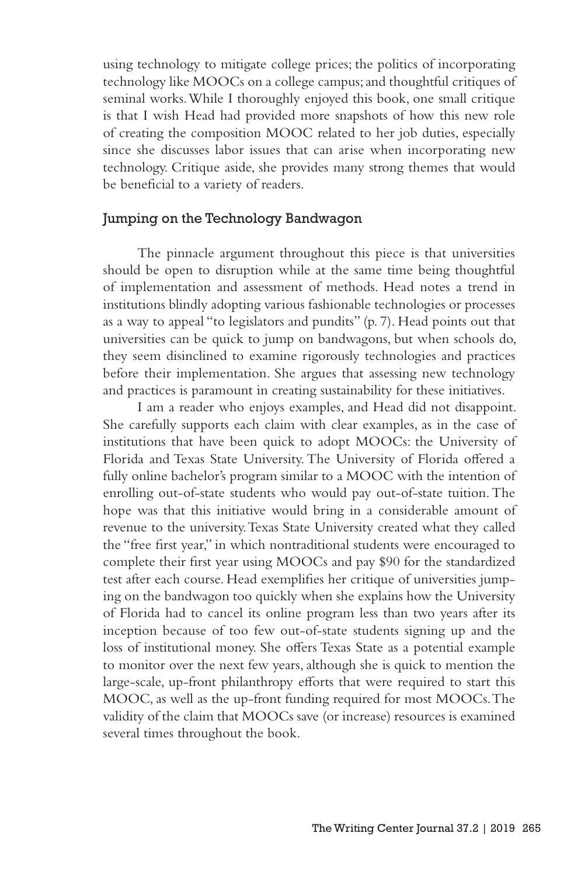using technology to mitigate college prices; the politics of incorporating technology like MOOCs on a college campus; and thoughtful critiques of seminal works. While I thoroughly enjoyed this book, one small critique is that I wish Head had provided more snapshots of how this new role of creating the composition MOOC related to her job duties, especially since she discusses labor issues that can arise when incorporating new technology. Critique aside, she provides many strong themes that would be beneficial to a variety of readers.

### Jumping on the Technology Bandwagon

The pinnacle argument throughout this piece is that universities should be open to disruption while at the same time being thoughtful of implementation and assessment of methods. Head notes a trend in institutions blindly adopting various fashionable technologies or processes as a way to appeal "to legislators and pundits" (p. 7). Head points out that universities can be quick to jump on bandwagons, but when schools do, they seem disinclined to examine rigorously technologies and practices before their implementation. She argues that assessing new technology and practices is paramount in creating sustainability for these initiatives.

I am a reader who enjoys examples, and Head did not disappoint. She carefully supports each claim with clear examples, as in the case of institutions that have been quick to adopt MOOCs: the University of Florida and Texas State University. The University of Florida offered a fully online bachelor's program similar to a MOOC with the intention of enrolling out-of-state students who would pay out-of-state tuition. The hope was that this initiative would bring in a considerable amount of revenue to the university. Texas State University created what they called the "free first year," in which nontraditional students were encouraged to complete their first year using MOOCs and pay \$90 for the standardized test after each course. Head exemplifies her critique of universities jumping on the bandwagon too quickly when she explains how the University of Florida had to cancel its online program less than two years after its inception because of too few out-of-state students signing up and the loss of institutional money. She offers Texas State as a potential example to monitor over the next few years, although she is quick to mention the large-scale, up-front philanthropy efforts that were required to start this MOOC, as well as the up-front funding required for most MOOCs. The validity of the claim that MOOCs save (or increase) resources is examined several times throughout the book.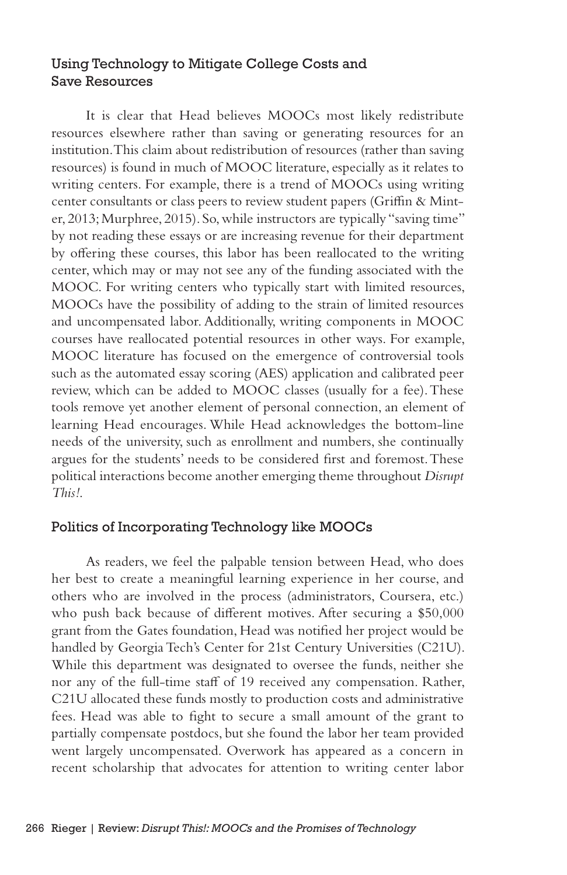## Using Technology to Mitigate College Costs and Save Resources

It is clear that Head believes MOOCs most likely redistribute resources elsewhere rather than saving or generating resources for an institution. This claim about redistribution of resources (rather than saving resources) is found in much of MOOC literature, especially as it relates to writing centers. For example, there is a trend of MOOCs using writing center consultants or class peers to review student papers (Griffin & Minter, 2013; Murphree, 2015). So, while instructors are typically "saving time" by not reading these essays or are increasing revenue for their department by offering these courses, this labor has been reallocated to the writing center, which may or may not see any of the funding associated with the MOOC. For writing centers who typically start with limited resources, MOOCs have the possibility of adding to the strain of limited resources and uncompensated labor. Additionally, writing components in MOOC courses have reallocated potential resources in other ways. For example, MOOC literature has focused on the emergence of controversial tools such as the automated essay scoring (AES) application and calibrated peer review, which can be added to MOOC classes (usually for a fee). These tools remove yet another element of personal connection, an element of learning Head encourages. While Head acknowledges the bottom-line needs of the university, such as enrollment and numbers, she continually argues for the students' needs to be considered first and foremost. These political interactions become another emerging theme throughout *Disrupt This!*.

## Politics of Incorporating Technology like MOOCs

As readers, we feel the palpable tension between Head, who does her best to create a meaningful learning experience in her course, and others who are involved in the process (administrators, Coursera, etc.) who push back because of different motives. After securing a \$50,000 grant from the Gates foundation, Head was notified her project would be handled by Georgia Tech's Center for 21st Century Universities (C21U). While this department was designated to oversee the funds, neither she nor any of the full-time staff of 19 received any compensation. Rather, C21U allocated these funds mostly to production costs and administrative fees. Head was able to fight to secure a small amount of the grant to partially compensate postdocs, but she found the labor her team provided went largely uncompensated. Overwork has appeared as a concern in recent scholarship that advocates for attention to writing center labor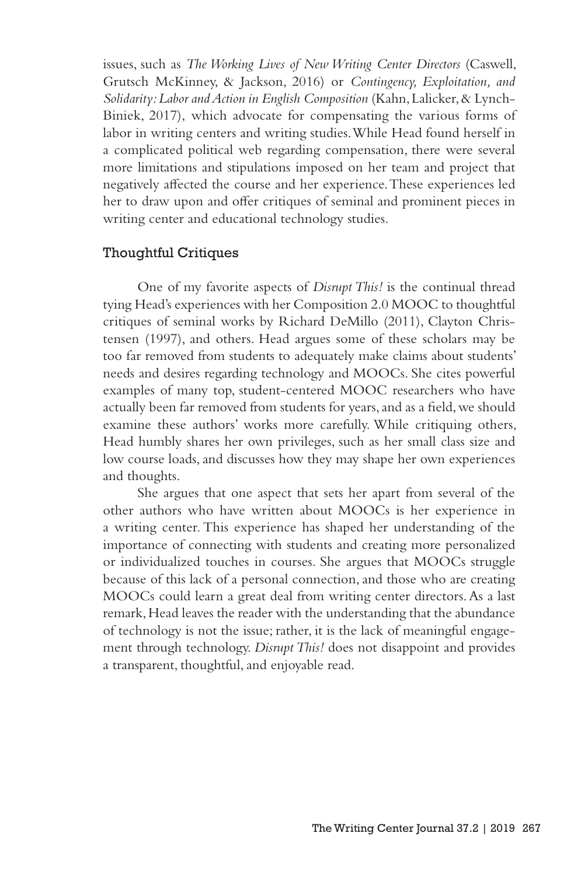issues, such as *The Working Lives of New Writing Center Directors* (Caswell, Grutsch McKinney, & Jackson, 2016) or *Contingency, Exploitation, and Solidarity: Labor and Action in English Composition* (Kahn, Lalicker, & Lynch-Biniek, 2017), which advocate for compensating the various forms of labor in writing centers and writing studies. While Head found herself in a complicated political web regarding compensation, there were several more limitations and stipulations imposed on her team and project that negatively affected the course and her experience. These experiences led her to draw upon and offer critiques of seminal and prominent pieces in writing center and educational technology studies.

## Thoughtful Critiques

One of my favorite aspects of *Disrupt This!* is the continual thread tying Head's experiences with her Composition 2.0 MOOC to thoughtful critiques of seminal works by Richard DeMillo (2011), Clayton Christensen (1997), and others. Head argues some of these scholars may be too far removed from students to adequately make claims about students' needs and desires regarding technology and MOOCs. She cites powerful examples of many top, student-centered MOOC researchers who have actually been far removed from students for years, and as a field, we should examine these authors' works more carefully. While critiquing others, Head humbly shares her own privileges, such as her small class size and low course loads, and discusses how they may shape her own experiences and thoughts.

She argues that one aspect that sets her apart from several of the other authors who have written about MOOCs is her experience in a writing center. This experience has shaped her understanding of the importance of connecting with students and creating more personalized or individualized touches in courses. She argues that MOOCs struggle because of this lack of a personal connection, and those who are creating MOOCs could learn a great deal from writing center directors. As a last remark, Head leaves the reader with the understanding that the abundance of technology is not the issue; rather, it is the lack of meaningful engagement through technology. *Disrupt This!* does not disappoint and provides a transparent, thoughtful, and enjoyable read.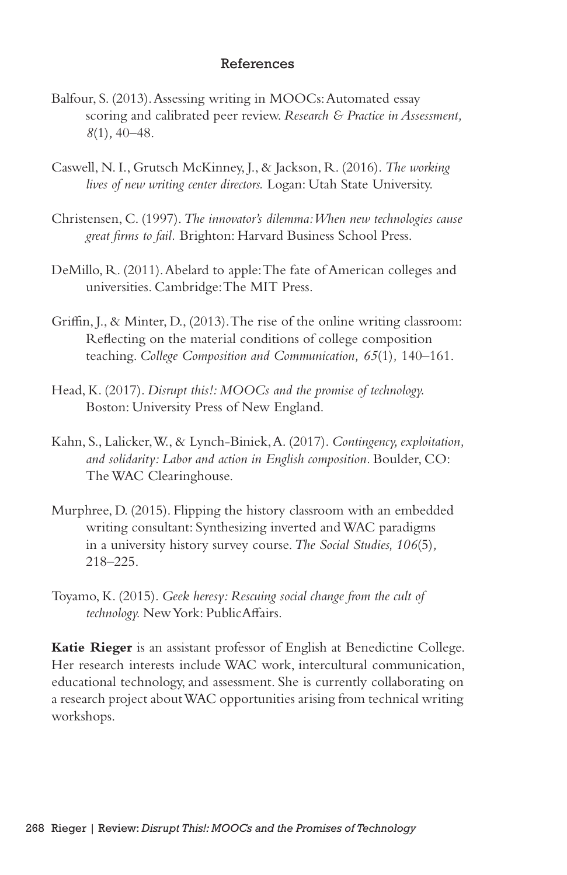### References

- Balfour, S. (2013). Assessing writing in MOOCs: Automated essay scoring and calibrated peer review. *Research & Practice in Assessment, 8*(1)*,* 40–48.
- Caswell, N. I., Grutsch McKinney, J., & Jackson, R. (2016). *The working lives of new writing center directors.* Logan: Utah State University.
- Christensen, C. (1997). *The innovator's dilemma: When new technologies cause great firms to fail.* Brighton: Harvard Business School Press.
- DeMillo, R. (2011). Abelard to apple: The fate of American colleges and universities. Cambridge: The MIT Press.
- Griffin, J., & Minter, D., (2013). The rise of the online writing classroom: Reflecting on the material conditions of college composition teaching. *College Composition and Communication, 65*(1)*,* 140–161.
- Head, K. (2017). *Disrupt this!: MOOCs and the promise of technology.* Boston: University Press of New England.
- Kahn, S., Lalicker, W., & Lynch-Biniek, A. (2017). *Contingency, exploitation, and solidarity: Labor and action in English composition.* Boulder, CO: The WAC Clearinghouse.
- Murphree, D. (2015). Flipping the history classroom with an embedded writing consultant: Synthesizing inverted and WAC paradigms in a university history survey course. *The Social Studies, 106*(5)*,* 218–225.
- Toyamo, K. (2015). *Geek heresy: Rescuing social change from the cult of technology.* New York: PublicAffairs.

**Katie Rieger** is an assistant professor of English at Benedictine College. Her research interests include WAC work, intercultural communication, educational technology, and assessment. She is currently collaborating on a research project about WAC opportunities arising from technical writing workshops.